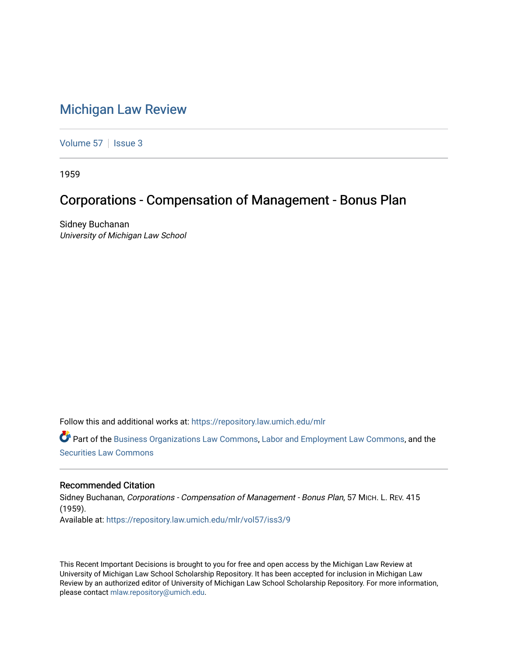## [Michigan Law Review](https://repository.law.umich.edu/mlr)

[Volume 57](https://repository.law.umich.edu/mlr/vol57) | [Issue 3](https://repository.law.umich.edu/mlr/vol57/iss3)

1959

## Corporations - Compensation of Management - Bonus Plan

Sidney Buchanan University of Michigan Law School

Follow this and additional works at: [https://repository.law.umich.edu/mlr](https://repository.law.umich.edu/mlr?utm_source=repository.law.umich.edu%2Fmlr%2Fvol57%2Fiss3%2F9&utm_medium=PDF&utm_campaign=PDFCoverPages) 

Part of the [Business Organizations Law Commons](http://network.bepress.com/hgg/discipline/900?utm_source=repository.law.umich.edu%2Fmlr%2Fvol57%2Fiss3%2F9&utm_medium=PDF&utm_campaign=PDFCoverPages), [Labor and Employment Law Commons,](http://network.bepress.com/hgg/discipline/909?utm_source=repository.law.umich.edu%2Fmlr%2Fvol57%2Fiss3%2F9&utm_medium=PDF&utm_campaign=PDFCoverPages) and the [Securities Law Commons](http://network.bepress.com/hgg/discipline/619?utm_source=repository.law.umich.edu%2Fmlr%2Fvol57%2Fiss3%2F9&utm_medium=PDF&utm_campaign=PDFCoverPages)

## Recommended Citation

Sidney Buchanan, Corporations - Compensation of Management - Bonus Plan, 57 MICH. L. REV. 415 (1959). Available at: [https://repository.law.umich.edu/mlr/vol57/iss3/9](https://repository.law.umich.edu/mlr/vol57/iss3/9?utm_source=repository.law.umich.edu%2Fmlr%2Fvol57%2Fiss3%2F9&utm_medium=PDF&utm_campaign=PDFCoverPages)

This Recent Important Decisions is brought to you for free and open access by the Michigan Law Review at University of Michigan Law School Scholarship Repository. It has been accepted for inclusion in Michigan Law Review by an authorized editor of University of Michigan Law School Scholarship Repository. For more information, please contact [mlaw.repository@umich.edu.](mailto:mlaw.repository@umich.edu)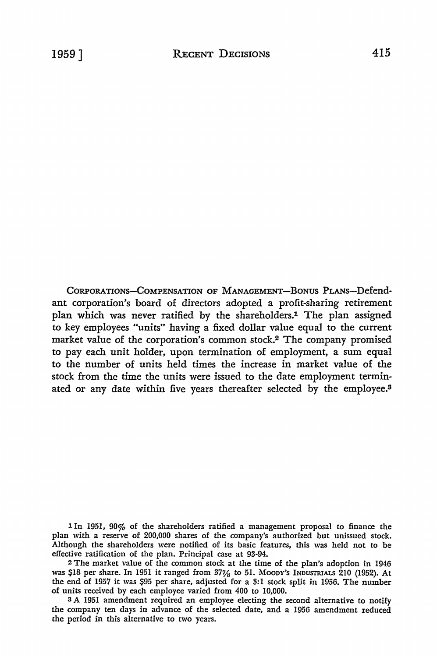CoRPORATIONs-CoMPENSATION OF MANAGEMENT-BONUS PLANS-Defendant corporation's board of directors adopted a profit-sharing retirement plan which was never ratified by the shareholders.1 The plan assigned to key employees "units" having a fixed dollar value equal to the current market value of the corporation's common stock.2 The company promised to pay each unit holder, upon termination of employment, a sum equal to the number of units held times the increase in market value of the stock from the time the units were issued to the date employment terminated or any date within five years thereafter selected by the employee.<sup>8</sup>

1 In 1951, 90% of the shareholders ratified a management proposal to finance the plan with a reserve of 200,000 shares of the company's authorized but unissued stock. Although the shareholders were notified of its basic features, this was held not to be effective ratification of the plan. Principal case at 93-94.

<sup>2</sup>The market value of the common stock at the time of the plan's adoption in 1946 was \$18 per share. In 1951 it ranged from 37¼ to 51. MOODY'S INDUSTRIALS 210 (1952). **At**  the end of 1957 it was S95 per share, adjusted for a 3:1 stock split in 1956. The number of units received by each employee varied from 400 to 10,000.

<sup>3</sup>A 1951 amendment required an employee electing the second alternative to notify the company ten days in advance of the selected date, and a 1956 amendment reduced the period in this alternative to two years.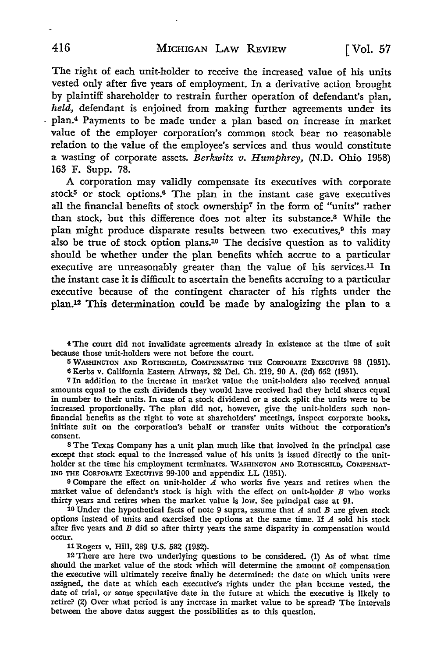The right of each unit-holder to receive the increased value of his units vested only after five years of employment. In a derivative action brought by plaintiff shareholder to restrain further operation of defendant's plan, *held,* defendant is enjoined from making further agreements under its plan.<sup>4</sup> Payments to be made under a plan based on increase in market value of the employer corporation's common stock bear no reasonable relation to the value of the employee's services and thus would constitute a wasting of corporate assets. *Berkwitz v. Humphrey,* (N.D. Ohio 1958) 163 F. Supp. 78.

A corporation may validly compensate its executives with corporate stock<sup>5</sup> or stock options.<sup>6</sup> The plan in the instant case gave executives all the financial benefits of stock ownership7 in the form of "units" rather than stock, but this difference does not alter its substance.8 While the plan might produce disparate results between two executives,<sup>9</sup> this may also be true of stock option plans.10 The decisive question as to validity should be whether under the plan benefits which accrue to a particular executive are unreasonably greater than the value of his services.11 In the instant case it is difficult to ascertain the benefits accruing to a particular executive because of the contingent character of his rights under the plan.12 This determination could be made by analogizing the plan to a

4 The court did not invalidate agreements already in existence at the time of suit because those unit-holders were not before the court.

**5 WASHINGTON AND ROTHSCHILD, COMPENSATING THE CORPORATE EXECUTIVE 98 (1951).** 6 Kerbs v. California Eastern Airways, 32 Del. Ch. 219, 90 A. (2d) 652 (1951).

<sup>7</sup>In addition to the increase in market value the unit-holders also received annual amounts equal to the cash dividends they would have received had they held shares equal in number to their units. In case of a stock dividend or a stock split the units were to be increased proportionally. The plan did not, however, give the unit-holders such nonfinancial benefits as the right to vote at shareholders' meetings, inspect corporate books, initiate suit on the corporation's behalf or transfer units without the corporation's consent.

<sup>8</sup>The Texas Company has a unit plan much like that involved in the principal case except that stock equal to the increased value of his units is issued directly to the unitholder at the time his employment terminates. WASHINGTON AND ROTHSCHILD, COMPENSAT-ING THE CORPORATE EXECUfIVE 99-100 and appendix LL (1951).

9 Compare the effect on unit-holder  $\overline{A}$  who works five years and retires when the market value of defendant's stock is high with the effect on unit-holder *B* who works thirty years and retires when the market value is low. See principal case at 91.

10 Under the hypothetical facts of note 9 supra, assume that  $\overline{A}$  and  $\overline{B}$  are given stock options instead of units and exercised the options at the same time. If  $A$  sold his stock after five years and *B* did so after thirty years the same disparity in compensation would occur.

ll Rogers v. Hill, 289 U.S. 582 (1932).

12 There are here two underlying questions to be considered. (1) As of what time should the market value of the stock which will determine the amount of compensation the executive will ultimately receive finally be determined: the date on which units were assigned, the date at which each executive's rights under the plan became vested, the date of trial, or some speculative date in the future at which the executive is likely to retire? (2) Over what period is any increase in market value to be spread? The intervals between the above dates suggest the possibilities as to this question.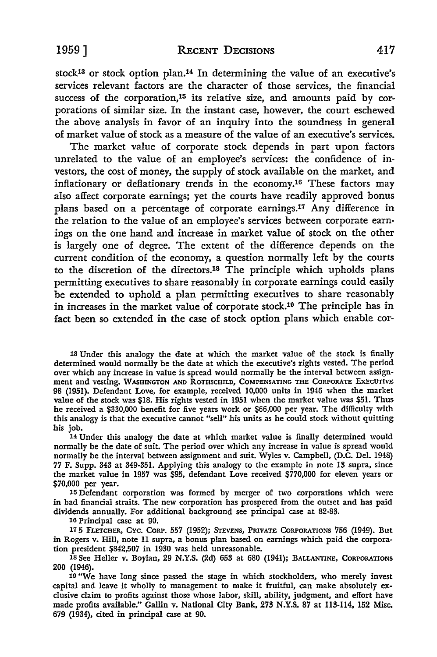stock13 or stock option plan.14 In determining the value of an executive's services relevant factors are the character of those services, the financial success of the corporation,<sup>15</sup> its relative size, and amounts paid by corporations of similar size. In the instant case, however, the court eschewed the above analysis in favor of an inquiry into the soundness in general of market value of stock as a measure of the value of an executive's services.

The market value of corporate stock depends in part upon factors unrelated to the value of an employee's services: the confidence of investors, the cost of money, the supply of stock available on the market, and inflationary or deflationary trends in the economy.16 These factors may also affect corporate earnings; yet the courts have readily approved bonus plans based on a percentage of corporate earnings.17 Any difference in the relation to the value of an employee's services between corporate earnings on the one hand and increase in market value of stock on the other is largely one of degree. The extent of the difference depends on the current condition of the economy, a question normally left by the courts to the discretion of the directors.18 The principle which upholds plans permitting executives to share reasonably in corporate earnings could easily be extended to uphold a plan permitting executives to share reasonably in increases in the market value of corporate stock.19 The principle has in fact been so extended in the case of stock option plans which enable car-

13 Under this analogy the date at which the market value of the stock is finally determined would normaIIy be the date at which the executive's rights vested. The period over which any increase in value is spread would normaIIy be the interval between assignment and vesting. WASHINGTON AND ROTHSCHILD, COMPENSATING THE CORPORATE EXECUTIVE 98 (1951). Defendant Love, for example, received 10,000 units in 1946 when the market value of the stock was \$18. His rights vested in 1951 when the market value was \$51. Thus he received a \$330,000 benefit for five years work or \$66,000 per year. The difficulty with this analogy is that the executive cannot "seII" his units as he could stock without quitting his job.

14 Under this analogy the date at which market value is finaIIy determined would normaIIy be the date of suit. The period over which any increase in value is spread would normally be the interval between assignment and suit. Wyles v. Campbell, (D.C. Del. 1948) 77 F. Supp. 343 at 349-351. Applying this analogy to the example in note 13 supra, since the market value in 1957 was \$95, defendant Love received \$770,000 for eleven years or \$70,000 per year.

15 Defendant corporation was formed by merger of two corporations which were in bad financial straits. The new corporation has prospered from the outset and has paid dividends annually. For additional background see principal case at 82-83.

16 Principal case at 90.

17 5 FLETCHER, CYC. CORP. 557 (1952); STEVENS, PRIVATE CORPORATIONS 756 (1949). But in Rogers v. Hill, note II supra, a bonus plan based on earnings which paid the corporation president \$842,507 in 1930 was held unreasonable.

18 See Heller v. Boylan, 29 N.Y.S. (2d) 653 at 680 (1941); BALLANTINE, CORPORATIONS 200 (1946).

19 "We have long since passed the stage in which stockholders, who merely invest capital and leave it wholly to management to make it fruitful, can make absolutely exclusive claim to profits against those whose labor, skill, ability, judgment, and effort have made profits available." Gallin v. National City Bank, 273 N.Y.S. 87 at 113-114, 152 Misc. 679 (1934), cited in principal case at 90.